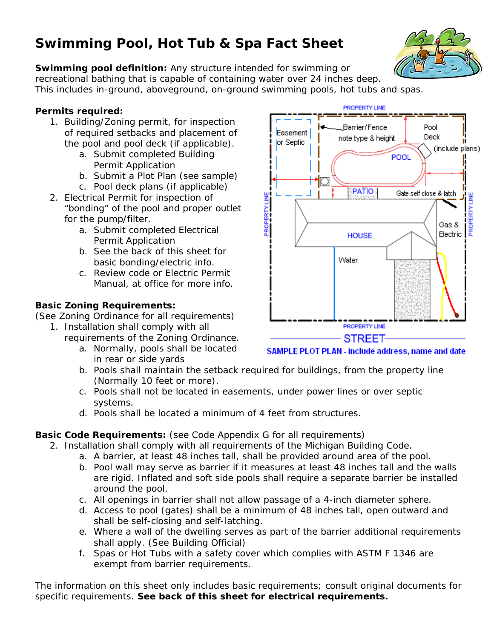# **Swimming Pool, Hot Tub & Spa Fact Sheet**



**Swimming pool definition:** Any structure intended for swimming or recreational bathing that is capable of containing water over 24 inches deep. This includes in-ground, aboveground, on-ground swimming pools, hot tubs and spas.

### **Permits required:**

- 1. Building/Zoning permit, for inspection of required setbacks and placement of the pool and pool deck (if applicable).
	- a. Submit completed Building Permit Application
	- b. Submit a Plot Plan (see sample)
	- c. Pool deck plans (if applicable)
- 2. Electrical Permit for inspection of "bonding" of the pool and proper outlet for the pump/filter.
	- a. Submit completed Electrical Permit Application
	- b. See the back of this sheet for basic bonding/electric info.
	- c. Review code or Electric Permit Manual, at office for more info.

#### **Basic Zoning Requirements:**

(See Zoning Ordinance for all requirements)

- 1. Installation shall comply with all
	- requirements of the Zoning Ordinance.
		- a. Normally, pools shall be located in rear or side yards
- **PROPERTY LINE** Barrier/Fence Pool Easement **Deck** note type & height or Septic (include plans) POOL **PATIO** Gate self close & latch ROPERTY LINE Gas & Electric **HOUSE** Water **PROPERTY LINE STREET-**

SAMPLE PLOT PLAN - include address, name and date

- b. Pools shall maintain the setback required for buildings, from the property line (Normally 10 feet or more).
- c. Pools shall not be located in easements, under power lines or over septic systems.
- d. Pools shall be located a minimum of 4 feet from structures.

## **Basic Code Requirements:** (see Code Appendix G for all requirements)

- 2. Installation shall comply with all requirements of the Michigan Building Code.
	- a. A barrier, at least 48 inches tall, shall be provided around area of the pool.
	- b. Pool wall may serve as barrier if it measures at least 48 inches tall and the walls are rigid. Inflated and soft side pools shall require a separate barrier be installed around the pool.
	- c. All openings in barrier shall not allow passage of a 4-inch diameter sphere.
	- d. Access to pool (gates) shall be a minimum of 48 inches tall, open outward and shall be self-closing and self-latching.
	- e. Where a wall of the dwelling serves as part of the barrier additional requirements shall apply. (See Building Official)
	- f. Spas or Hot Tubs with a safety cover which complies with ASTM F 1346 are exempt from barrier requirements.

The information on this sheet only includes basic requirements; consult original documents for specific requirements. **See back of this sheet for electrical requirements.**